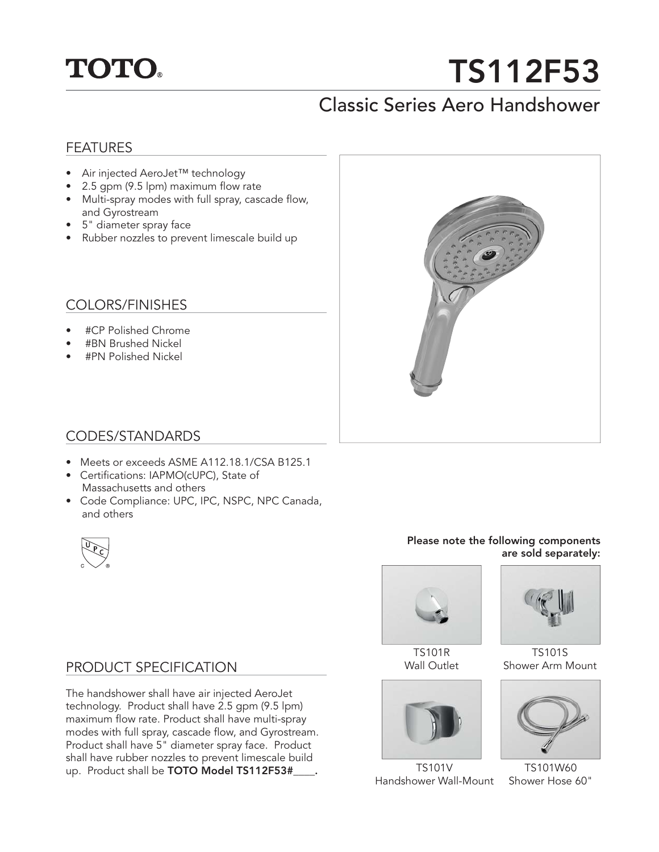## **TOTO.**

# **TS112F53**

### Classic Series Aero Handshower

#### FEATURES

- Air injected AeroJet™ technology
- $\bullet$  2.5 gpm (9.5 lpm) maximum flow rate
- Multi-spray modes with full spray, cascade flow, and Gyrostream
- 5" diameter spray face
- Rubber nozzles to prevent limescale build up

#### COLORS/FINISHES

- #CP Polished Chrome
- #BN Brushed Nickel
- #PN Polished Nickel



#### CODES/STANDARDS

- Meets or exceeds ASME A112.18.1/CSA B125.1
- Certifications: IAPMO(cUPC), State of Massachusetts and others
- Code Compliance: UPC, IPC, NSPC, NPC Canada, and others



#### **Please note the following components are sold separately:**



TS101R Wall Outlet



TS101V Handshower Wall-Mount



TS101S Shower Arm Mount



TS101W60 Shower Hose 60"

#### PRODUCT SPECIFICATION

The handshower shall have air injected AeroJet technology. Product shall have 2.5 gpm (9.5 lpm) maximum flow rate. Product shall have multi-spray modes with full spray, cascade flow, and Gyrostream. Product shall have 5" diameter spray face. Product shall have rubber nozzles to prevent limescale build up. Product shall be **TOTO Model TS112F53#\_\_\_\_.**